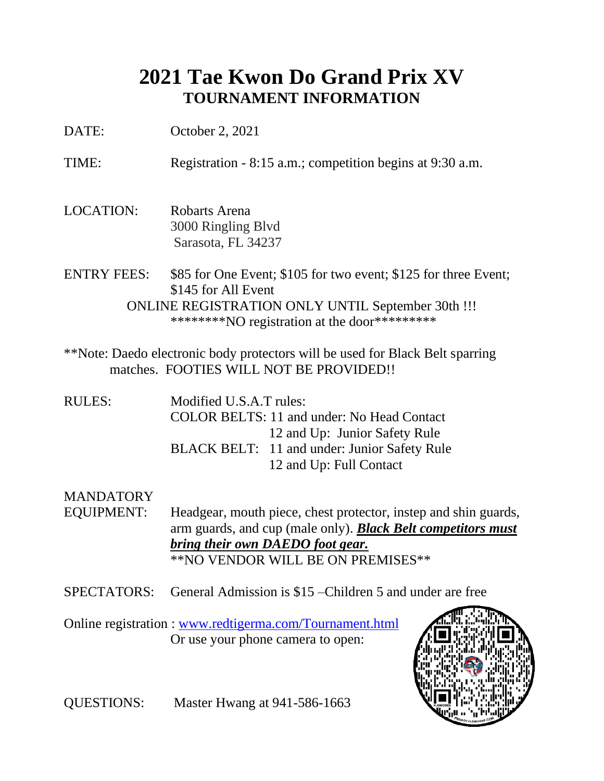## **2021 Tae Kwon Do Grand Prix XV TOURNAMENT INFORMATION**

DATE: October 2, 2021

TIME: Registration - 8:15 a.m.; competition begins at 9:30 a.m.

- LOCATION: Robarts Arena 3000 Ringling Blvd Sarasota, FL 34237
- ENTRY FEES: \$85 for One Event; \$105 for two event; \$125 for three Event; \$145 for All Event ONLINE REGISTRATION ONLY UNTIL September 30th !!! \*\*\*\*\*\*\*\*NO registration at the door\*\*\*\*\*\*\*\*\*
- \*\*Note: Daedo electronic body protectors will be used for Black Belt sparring matches. FOOTIES WILL NOT BE PROVIDED!!
- RULES: Modified U.S.A.T rules: COLOR BELTS: 11 and under: No Head Contact 12 and Up: Junior Safety Rule BLACK BELT: 11 and under: Junior Safety Rule 12 and Up: Full Contact

#### **MANDATORY**

- EQUIPMENT: Headgear, mouth piece, chest protector, instep and shin guards, arm guards, and cup (male only). *Black Belt competitors must bring their own DAEDO foot gear.* \*\*NO VENDOR WILL BE ON PREMISES\*\*
- SPECTATORS: General Admission is \$15 –Children 5 and under are free

Online registration : [www.redtigerma.com/Tournament.html](http://www.redtigerma.com/Tournament.html) Or use your phone camera to open:



QUESTIONS: Master Hwang at 941-586-1663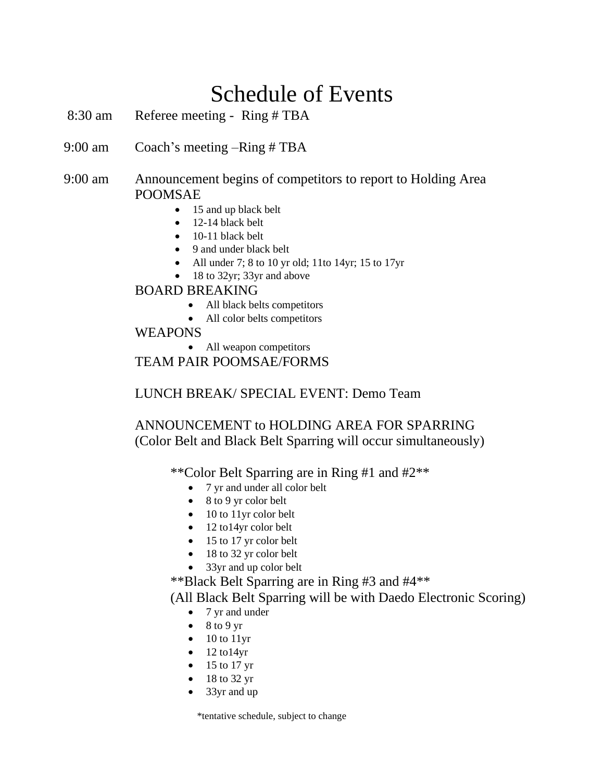## Schedule of Events

- 8:30 am Referee meeting Ring # TBA
- 9:00 am Coach's meeting –Ring # TBA
- 9:00 am Announcement begins of competitors to report to Holding Area POOMSAE
	- 15 and up black belt
	- 12-14 black belt
	- 10-11 black belt
	- 9 and under black belt
	- All under 7; 8 to 10 yr old; 11to 14yr; 15 to 17yr
	- 18 to 32yr; 33yr and above

#### BOARD BREAKING

- All black belts competitors
- All color belts competitors

#### WEAPONS

• All weapon competitors

TEAM PAIR POOMSAE/FORMS

LUNCH BREAK/ SPECIAL EVENT: Demo Team

#### ANNOUNCEMENT to HOLDING AREA FOR SPARRING (Color Belt and Black Belt Sparring will occur simultaneously)

\*\*Color Belt Sparring are in Ring #1 and #2\*\*

- 7 yr and under all color belt
- 8 to 9 yr color belt
- 10 to 11yr color belt
- 12 to14yr color belt
- 15 to 17 yr color belt
- 18 to 32 yr color belt
- 33yr and up color belt

\*\*Black Belt Sparring are in Ring #3 and #4\*\*

(All Black Belt Sparring will be with Daedo Electronic Scoring)

- 7 yr and under
- $\bullet$  8 to 9 yr
- $\bullet$  10 to 11yr
- $\bullet$  12 to 14yr
- $\bullet$  15 to 17 yr
- 18 to 32 yr
- 33yr and up

\*tentative schedule, subject to change